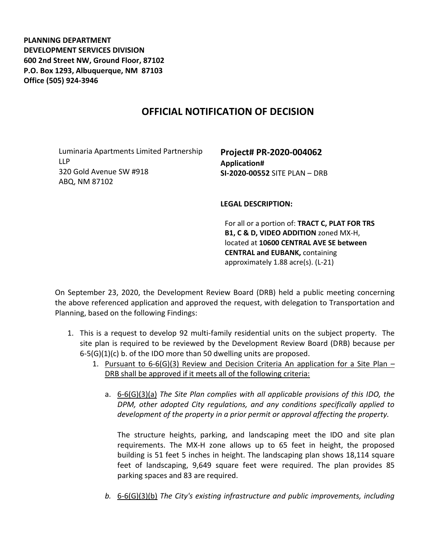**PLANNING DEPARTMENT DEVELOPMENT SERVICES DIVISION 600 2nd Street NW, Ground Floor, 87102 P.O. Box 1293, Albuquerque, NM 87103 Office (505) 924-3946** 

## **OFFICIAL NOTIFICATION OF DECISION**

Luminaria Apartments Limited Partnership LLP 320 Gold Avenue SW #918 ABQ, NM 87102

**Project# PR-2020-004062 Application# SI-2020-00552** SITE PLAN – DRB

**LEGAL DESCRIPTION:**

For all or a portion of: **TRACT C, PLAT FOR TRS B1, C & D, VIDEO ADDITION** zoned MX-H, located at **10600 CENTRAL AVE SE between CENTRAL and EUBANK,** containing approximately 1.88 acre(s). (L-21)

On September 23, 2020, the Development Review Board (DRB) held a public meeting concerning the above referenced application and approved the request, with delegation to Transportation and Planning, based on the following Findings:

- 1. This is a request to develop 92 multi-family residential units on the subject property. The site plan is required to be reviewed by the Development Review Board (DRB) because per 6-5(G)(1)(c) b. of the IDO more than 50 dwelling units are proposed.
	- 1. Pursuant to  $6-6(G)(3)$  Review and Decision Criteria An application for a Site Plan DRB shall be approved if it meets all of the following criteria:
		- a. 6-6(G)(3)(a) *The Site Plan complies with all applicable provisions of this IDO, the DPM, other adopted City regulations, and any conditions specifically applied to development of the property in a prior permit or approval affecting the property.*

The structure heights, parking, and landscaping meet the IDO and site plan requirements. The MX-H zone allows up to 65 feet in height, the proposed building is 51 feet 5 inches in height. The landscaping plan shows 18,114 square feet of landscaping, 9,649 square feet were required. The plan provides 85 parking spaces and 83 are required.

*b.* 6-6(G)(3)(b) *The City's existing infrastructure and public improvements, including*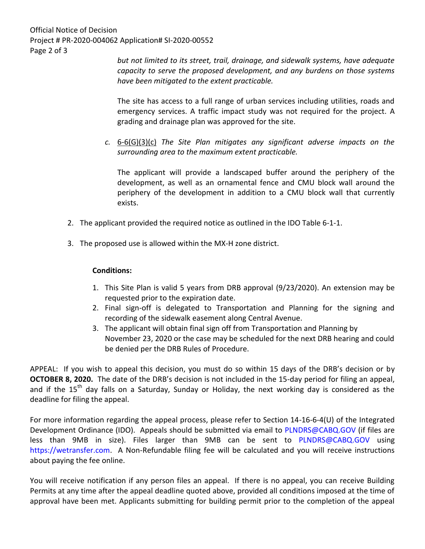Official Notice of Decision Project # PR-2020-004062 Application# SI-2020-00552 Page 2 of 3

*but not limited to its street, trail, drainage, and sidewalk systems, have adequate capacity to serve the proposed development, and any burdens on those systems have been mitigated to the extent practicable.* 

The site has access to a full range of urban services including utilities, roads and emergency services. A traffic impact study was not required for the project. A grading and drainage plan was approved for the site.

*c.* 6-6(G)(3)(c) *The Site Plan mitigates any significant adverse impacts on the surrounding area to the maximum extent practicable.* 

The applicant will provide a landscaped buffer around the periphery of the development, as well as an ornamental fence and CMU block wall around the periphery of the development in addition to a CMU block wall that currently exists.

- 2. The applicant provided the required notice as outlined in the IDO Table 6-1-1.
- 3. The proposed use is allowed within the MX-H zone district.

## **Conditions:**

- 1. This Site Plan is valid 5 years from DRB approval (9/23/2020). An extension may be requested prior to the expiration date.
- 2. Final sign-off is delegated to Transportation and Planning for the signing and recording of the sidewalk easement along Central Avenue.
- 3. The applicant will obtain final sign off from Transportation and Planning by November 23, 2020 or the case may be scheduled for the next DRB hearing and could be denied per the DRB Rules of Procedure.

APPEAL: If you wish to appeal this decision, you must do so within 15 days of the DRB's decision or by **OCTOBER 8, 2020.** The date of the DRB's decision is not included in the 15-day period for filing an appeal, and if the  $15<sup>th</sup>$  day falls on a Saturday, Sunday or Holiday, the next working day is considered as the deadline for filing the appeal.

For more information regarding the appeal process, please refer to Section 14-16-6-4(U) of the Integrated Development Ordinance (IDO). Appeals should be submitted via email to [PLNDRS@CABQ.GOV](mailto:PLNDRS@CABQ.GOV) (if files are less than 9MB in size). Files larger than 9MB can be sent to [PLNDRS@CABQ.GOV](mailto:PLNDRS@CABQ.GOV) using [https://wetransfer.com.](https://wetransfer.com/) A Non-Refundable filing fee will be calculated and you will receive instructions about paying the fee online.

You will receive notification if any person files an appeal. If there is no appeal, you can receive Building Permits at any time after the appeal deadline quoted above, provided all conditions imposed at the time of approval have been met. Applicants submitting for building permit prior to the completion of the appeal